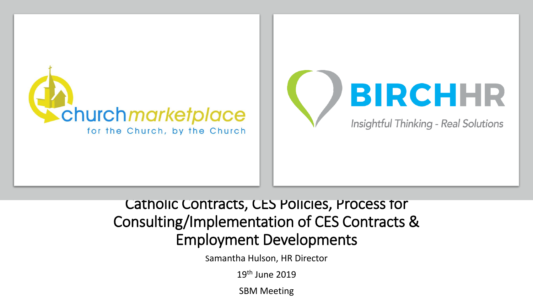

#### Catholic Contracts, CES Policies, Process for Consulting/Implementation of CES Contracts & Employment Developments

Samantha Hulson, HR Director

19th June 2019

SBM Meeting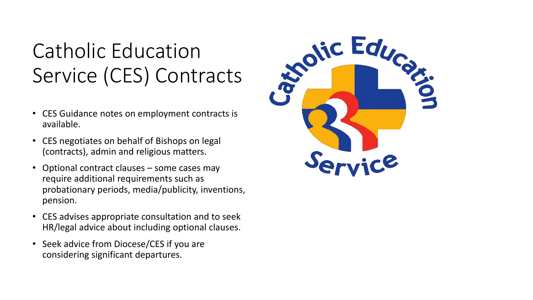# Catholic Education

- CES Guidance notes on employment contracts is available.
- CES negotiates on behalf of Bishops on legal (contracts), admin and religious matters.
- Optional contract clauses some cases may require additional requirements such as probationary periods, media/publicity, inventions, pension.
- CES advises appropriate consultation and to seek HR/legal advice about including optional clauses.
- Seek advice from Diocese/CES if you are considering significant departures.

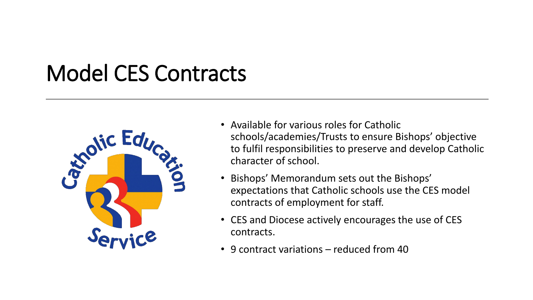### Model CES Contracts



- Available for various roles for Catholic schools/academies/Trusts to ensure Bishops' objective to fulfil responsibilities to preserve and develop Catholic character of school.
- Bishops' Memorandum sets out the Bishops' expectations that Catholic schools use the CES model contracts of employment for staff.
- CES and Diocese actively encourages the use of CES contracts.
- 9 contract variations reduced from 40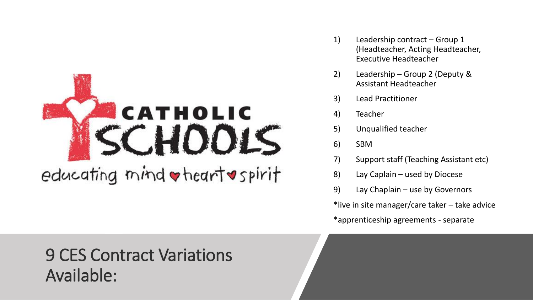

- 1) Leadership contract Group 1 (Headteacher, Acting Headteacher, Executive Headteacher
- 2) Leadership Group 2 (Deputy & Assistant Headteacher
- 3) Lead Practitioner
- 4) Teacher
- 5) Unqualified teacher
- 6) SBM
- 7) Support staff (Teaching Assistant etc)
- 8) Lay Caplain used by Diocese
- 9) Lay Chaplain use by Governors

\*live in site manager/care taker – take advice

\*apprenticeship agreements - separate

#### 9 CES Contract Variations Available: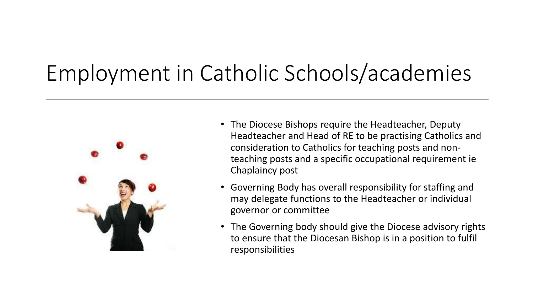# Employment in Catholic Schools/academies



- The Diocese Bishops require the Headteacher, Deputy Headteacher and Head of RE to be practising Catholics and consideration to Catholics for teaching posts and nonteaching posts and a specific occupational requirement ie Chaplaincy post
- Governing Body has overall responsibility for staffing and may delegate functions to the Headteacher or individual governor or committee
- The Governing body should give the Diocese advisory rights to ensure that the Diocesan Bishop is in a position to fulfil responsibilities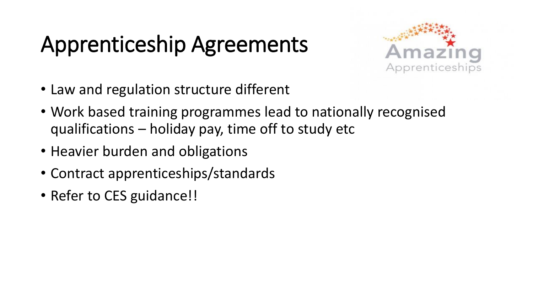# Apprenticeship Agreements



- Law and regulation structure different
- Work based training programmes lead to nationally recognised qualifications – holiday pay, time off to study etc
- Heavier burden and obligations
- Contract apprenticeships/standards
- Refer to CES guidance!!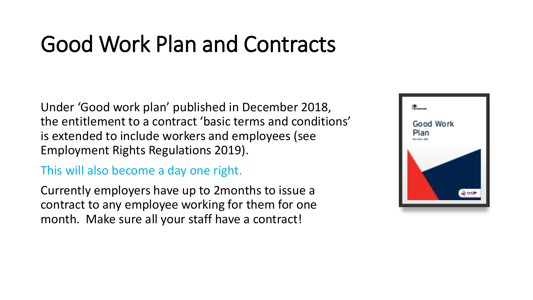### Good Work Plan and Contracts

Under 'Good work plan' published in December 2018, the entitlement to a contract 'basic terms and conditions' is extended to include workers and employees (see Employment Rights Regulations 2019).

#### This will also become a day one right.

Currently employers have up to 2months to issue a contract to any employee working for them for one month. Make sure all your staff have a contract!

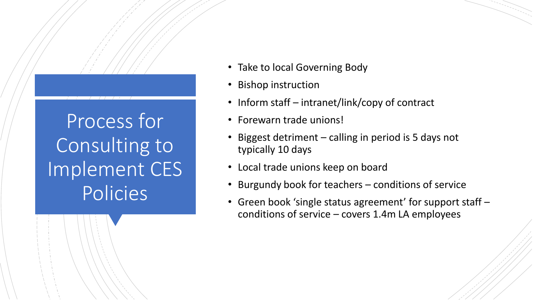Process for Consulting to Implement CES Policies

- Take to local Governing Body
- Bishop instruction
- Inform staff intranet/link/copy of contract
- Forewarn trade unions!
- Biggest detriment  $-$  calling in period is 5 days not typically 10 days
- Local trade unions keep on board
- Burgundy book for teachers conditions of service
- Green book 'single status agreement' for support staff conditions of service – covers 1.4m LA employees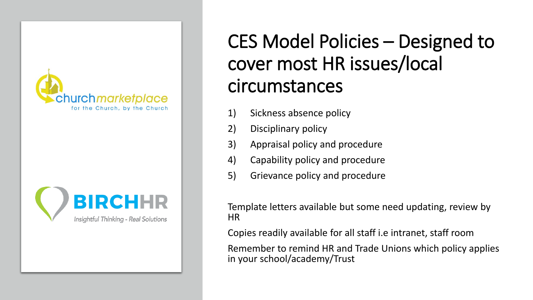



#### CES Model Policies – Designed to cover most HR issues/local circumstances

- 1) Sickness absence policy
- 2) Disciplinary policy
- 3) Appraisal policy and procedure
- 4) Capability policy and procedure
- 5) Grievance policy and procedure

Template letters available but some need updating, review by HR

Copies readily available for all staff i.e intranet, staff room

Remember to remind HR and Trade Unions which policy applies in your school/academy/Trust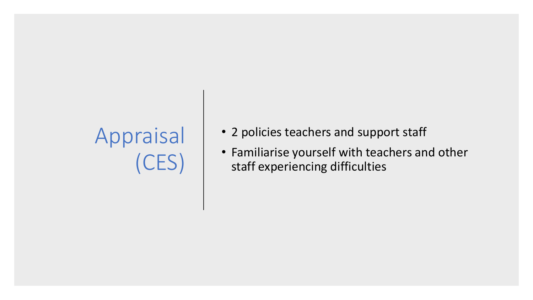# Appraisal (CES)

- 2 policies teachers and support staff
- Familiarise yourself with teachers and other staff experiencing difficulties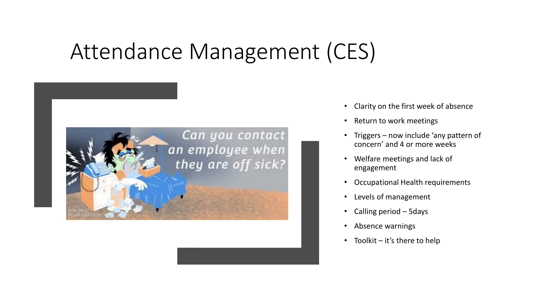#### Attendance Management (CES)



- Clarity on the first week of absence
- Return to work meetings
- Triggers now include 'any pattern of concern' and 4 or more weeks
- Welfare meetings and lack of engagement
- Occupational Health requirements
- Levels of management
- Calling period 5days
- Absence warnings
- Toolkit  $-$  it's there to help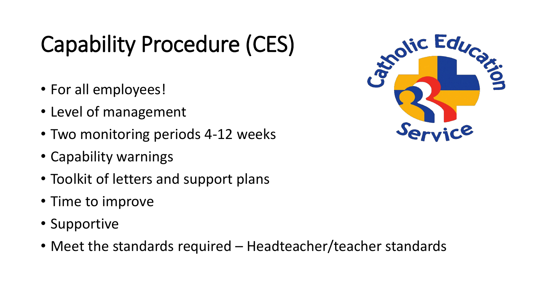# Capability Procedure (CES)

- For all employees!
- Level of management
- Two monitoring periods 4-12 weeks
- Capability warnings
- Toolkit of letters and support plans
- Time to improve
- Supportive
- Meet the standards required Headteacher/teacher standards

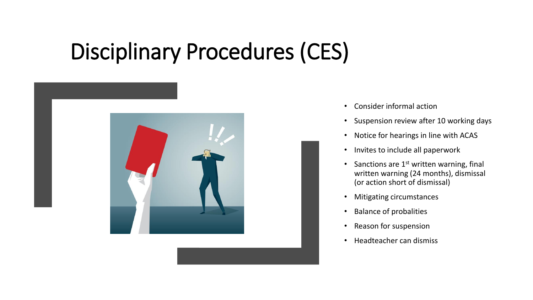## Disciplinary Procedures (CES)



- Consider informal action
- Suspension review after 10 working days
- Notice for hearings in line with ACAS
- Invites to include all paperwork
- Sanctions are  $1<sup>st</sup>$  written warning, final written warning (24 months), dismissal (or action short of dismissal)
- Mitigating circumstances
- Balance of probalities
- Reason for suspension
- Headteacher can dismiss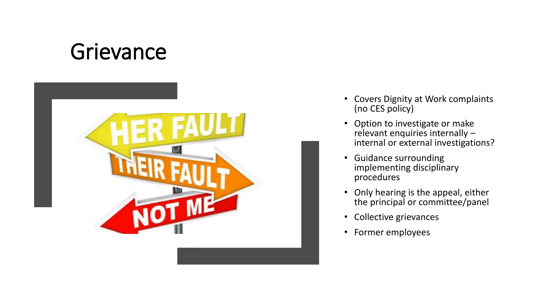### **Grievance**



- Covers Dignity at Work complaints (no CES policy)
- Option to investigate or make relevant enquiries internally – internal or external investigations?
- Guidance surrounding implementing disciplinary procedures
- Only hearing is the appeal, either the principal or committee/panel
- Collective grievances
- Former employees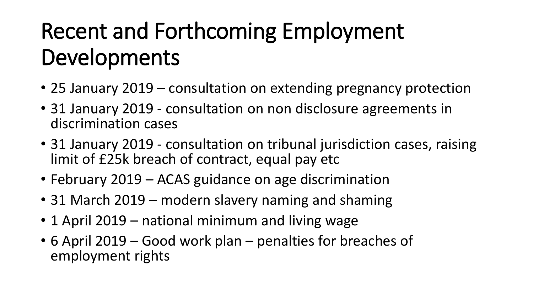# Recent and Forthcoming Employment Developments

- 25 January 2019 consultation on extending pregnancy protection
- 31 January 2019 consultation on non disclosure agreements in discrimination cases
- 31 January 2019 consultation on tribunal jurisdiction cases, raising limit of £25k breach of contract, equal pay etc
- February 2019 ACAS guidance on age discrimination
- 31 March 2019 modern slavery naming and shaming
- 1 April 2019 national minimum and living wage
- 6 April 2019 Good work plan penalties for breaches of employment rights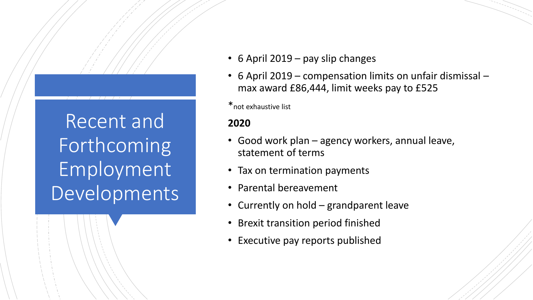Recent and Forthcoming Employment Developments

- 6 April 2019 pay slip changes
- 6 April 2019 compensation limits on unfair dismissal max award £86,444, limit weeks pay to £525

\*not exhaustive list

#### **2020**

- Good work plan agency workers, annual leave, statement of terms
- Tax on termination payments
- Parental bereavement
- Currently on hold grandparent leave
- Brexit transition period finished
- Executive pay reports published